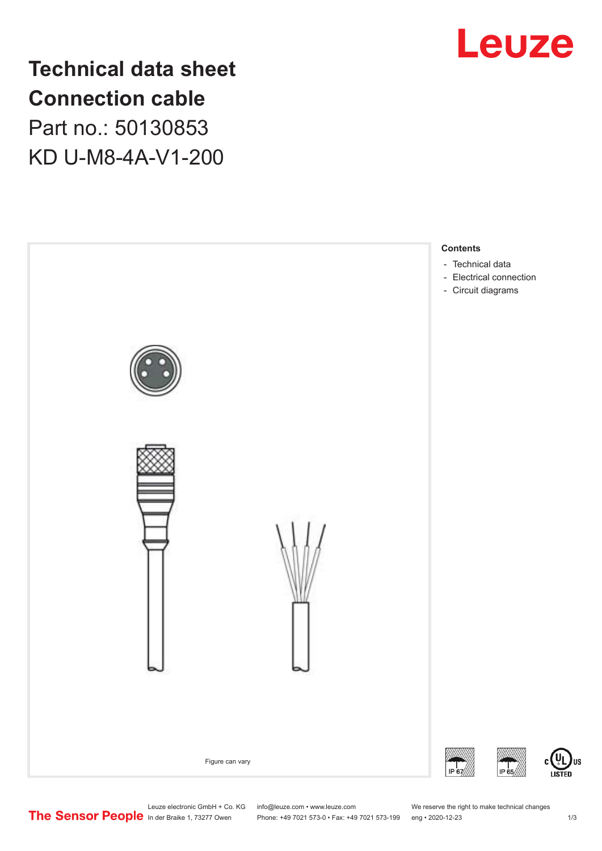

**Technical data sheet Connection cable** Part no.: 50130853 KD U-M8-4A-V1-200



Leuze electronic GmbH + Co. KG info@leuze.com • www.leuze.com We reserve the right to make technical changes<br>
The Sensor People in der Braike 1, 73277 Owen Phone: +49 7021 573-0 • Fax: +49 7021 573-199 eng • 2020-12-23

US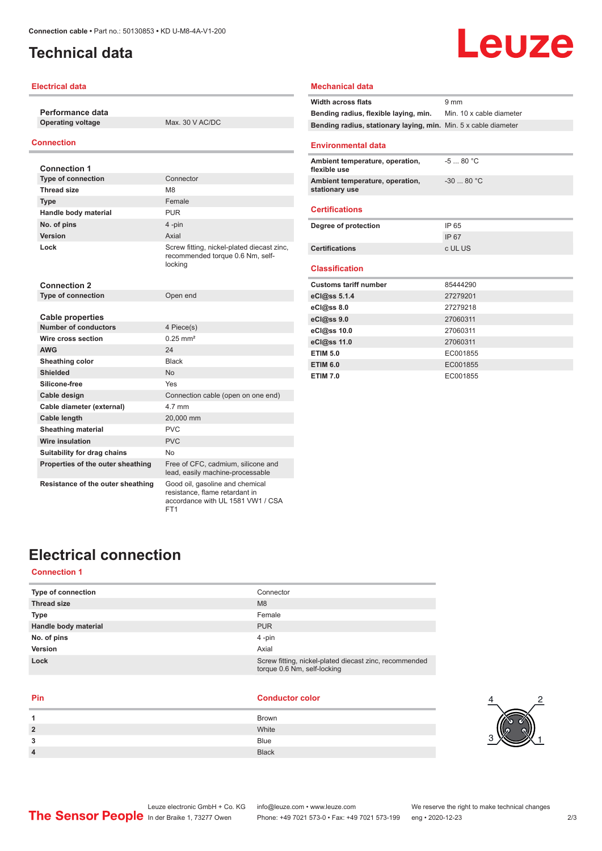## <span id="page-1-0"></span>**Technical data**

#### **Electrical data**

**Performance data Operating voltage** Max. 30 V AC/DC

#### **Connection**

| <b>Connection 1</b>                             |                                                                                                        |
|-------------------------------------------------|--------------------------------------------------------------------------------------------------------|
| <b>Type of connection</b>                       | Connector                                                                                              |
| <b>Thread size</b>                              | M <sub>8</sub>                                                                                         |
| <b>Type</b>                                     | Female                                                                                                 |
| Handle body material                            | PUR                                                                                                    |
| No. of pins                                     | 4-pin                                                                                                  |
| Version                                         | Axial                                                                                                  |
| Lock                                            | Screw fitting, nickel-plated diecast zinc,<br>recommended torque 0.6 Nm, self-<br>locking              |
| <b>Connection 2</b>                             |                                                                                                        |
| <b>Type of connection</b>                       | Open end                                                                                               |
|                                                 |                                                                                                        |
| Cable properties<br><b>Number of conductors</b> | 4 Piece(s)                                                                                             |
| Wire cross section                              | $0.25$ mm <sup>2</sup>                                                                                 |
| <b>AWG</b>                                      | 24                                                                                                     |
| Sheathing color                                 | <b>Black</b>                                                                                           |
| <b>Shielded</b>                                 | <b>No</b>                                                                                              |
| Silicone-free                                   | Yes                                                                                                    |
| Cable design                                    | Connection cable (open on one end)                                                                     |
| Cable diameter (external)                       | 4.7 mm                                                                                                 |
| <b>Cable length</b>                             | 20,000 mm                                                                                              |
| <b>Sheathing material</b>                       | <b>PVC</b>                                                                                             |
| Wire insulation                                 | PVC.                                                                                                   |
| Suitability for drag chains                     | No.                                                                                                    |
| Properties of the outer sheathing               | Free of CFC, cadmium, silicone and<br>lead, easily machine-processable                                 |
| Resistance of the outer sheathing               | Good oil, gasoline and chemical<br>resistance, flame retardant in<br>accordance with UL 1581 VW1 / CSA |

FT1

### **Mechanical data Width across flats** 9 mm **Bending radius, flexible laying, min.** Min. 10 x cable diameter **Bending radius, stationary laying, min.** Min. 5 x cable diameter **Environmental data Ambient temperature, operation, flexible use** -5 ... 80 °C **Ambient temperature, operation, stationary use** -30 ... 80 °C **Certifications Degree of protection** IP 65 IP 67 **Certifications** c UL US **Classification**

| <b>Customs tariff number</b> | 85444290 |
|------------------------------|----------|
| eCl@ss 5.1.4                 | 27279201 |
| $eC/\omega$ ss 8.0           | 27279218 |
| eCl@ss 9.0                   | 27060311 |
| eCl@ss 10.0                  | 27060311 |
| eCl@ss 11.0                  | 27060311 |
| <b>ETIM 5.0</b>              | EC001855 |
| <b>ETIM 6.0</b>              | EC001855 |
| <b>ETIM 7.0</b>              | EC001855 |

## **Electrical connection**

#### **Connection 1**

| Type of connection   | Connector                                                                             |
|----------------------|---------------------------------------------------------------------------------------|
| <b>Thread size</b>   | M8                                                                                    |
| <b>Type</b>          | Female                                                                                |
| Handle body material | <b>PUR</b>                                                                            |
| No. of pins          | $4$ -pin                                                                              |
| Version              | Axial                                                                                 |
| Lock                 | Screw fitting, nickel-plated diecast zinc, recommended<br>torque 0.6 Nm, self-locking |

#### **Pin Conductor color**

|   | Brown        |
|---|--------------|
| 2 | White        |
| 3 | <b>Blue</b>  |
| 4 | <b>Black</b> |



# Leuze